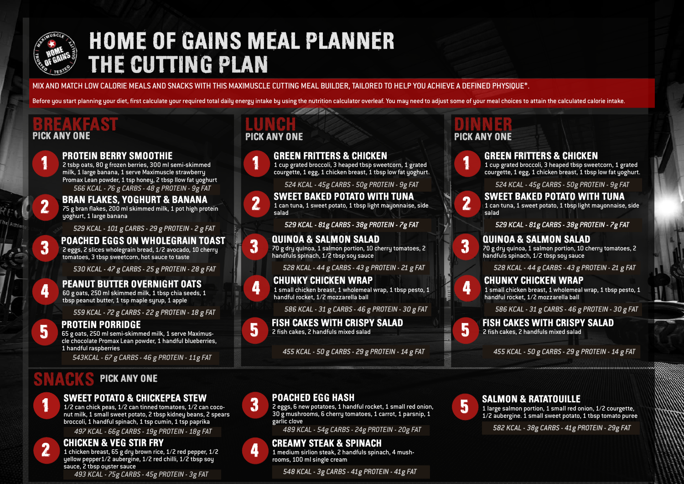

## THE CUTTING PLAN HOME OF GAINS MEAL PLANNER

MIX AND MATCH LOW CALORIE MEALS AND SNACKS WITH THIS MAXIMUSCLE CUTTING MEAL BUILDER, TAILORED TO HELP YOU ACHIEVE A DEFINED PHYSIQUE\*.

Before you start planning your diet, first calculate your required total daily energy intake by using the nutrition calculator overleaf. You may need to adjust some of your meal choices to attain the calculated calorie int

## PICK ANY ONE PICK ANY ONE PICK ANY ONE PICK ANY ONE



2 tsbp oats, 80 g frozen berries, 300 ml semi-skimmed milk, 1 large banana, 1 serve Maximuscle strawberry Promax Lean powder, 1 tsp honey, 2 tbsp llow fat yoghurt

2 2 1<br>2<br>3<br>3

1

3

# BRAN FLAKES, YOGHURT & BANANA 75 g bran flakes, 200 ml skimmed milk, 1 pot high protein yoghurt, 1 large banana 566 KCAL - 76 g CARBS - 48 g PROTEIN - 9g FAT<br> **BRAN FLAKES, YOGHURT & BANANA**<br>
75 g bran flakes, 200 ml skimmed milk, 1 pot high protugghurt, 1 large banana<br>
529 KCAL - 101 g CARBS - 29 g PROTEIN - 2 g FA<br> **POACHED EGGS O**

529 KCAL - 101 g CARBS - 29 g PROTEIN - 2 g FAT 529 KCAL - 101 g CARBS - 29 g PROTEIN - 2 g

POACHED EGGS ON WHOLEGRAIN TOAST 2 eggs, 2 slices wholegrain bread, 1/2 avocado, 10 cherry tomatoes, 3 tbsp sweetcorn, hot sauce to taste

530 KCAL - 47 g CARBS - 25 g PROTEIN - 28 g FAT 530 KCAL - 47 g CARBS - 25 g PROTEIN - 28 g FAT

## PEANUT BUTTER OVERNIGHT OATS

60 g oats, 250 ml skimmed milk, 1 tbsp chia seeds, 1 tbsp peanut butter, 1 tsp maple syrup, 1 apple

559 KCAL - 72 g CARBS - 22 g PROTEIN - 18 g FAT 559 KCAL - 72 g CARBS - 22 PROTEIN - 18 g FAT

## 5

4

**FROTEIN PORRIDGE**<br>65 g oats, 250 ml semi-skimmed milk, 1 serve Maximus-<br>cle chocolate Promax Lean powder. 1 handful blueberries cle chocolate Promax Lean powder, 1 handful blueberries, 1 handful raspberries

543KCAL - 67 g CARBS - 46 g PROTEIN - 11g FAT

### PICK ANY ONE SNACKS

## 1 1

### SWEET POTATO & CHICKEPEA STEW

1/2 can chick peas, 1/2 can tinned tomatoes, 1/2 can coconut milk, 1 small sweet potato, 2 tbsp kidney beans, 2 spears broccoli, 1 handful spinach, 1 tsp cumin, 1 tsp paprika

497 KCAL - 66g CARBS - 19g PROTEIN - 18g FAT

### 2 2



1 chicken breast, 65 g dry brown rice, 1/2 red pepper, 1/2 yellow pepper1/2 aubergine, 1/2 red chilli, 1/2 tbsp sou sauce, 2 tbsp oyster sauce

493 KCAL - 75g CARBS - 45g PROTEIN - 3g FAT

# PICK ANY ONE



GREEN FRITTERS & CHICKEN

1 cup grated broccoli, 3 heaped tbsp sweetcorn, 1 grated courgette, 1 egg, 1 chicken breast, 1 tbsp low fat yoghurt.

524 KCAL - 45g CARBS - 50g PROTEIN - 9g FAT



SWEET BAKED POTATO WITH TUNA 1 can tuna, 1 sweet potato, 1 tbsp light mayonnaise, side salad 524 KCAL - 45g CARBS - 50g PROTEIN - 9g FAT<br>**VEET BAKED POTATO WITH TUNA**<br>n tuna, 1 sweet potato, 1 tbsp light mayonnaise, s<br>d<br>529 KCAL - 81g CARBS - 38g PROTEIN - 7g FAT

529 KCAL - 81g CARBS - 38g PROTEIN - 7g FAT

### 3 QUINOA & SALMON SALAD

**CHUNKY CHICKEN WRAP** 

handful rocket, 1/2 mozzarella ball

70 g dry quinoa, 1 salmon portion, 10 cherry tomatoes, 2 handfuls spinach, 1/2 tbsp soy sauce

528 KCAL - 44 g CARBS - 43 g PROTEIN - 21 g FAT 528 KCAL - 44 g CARBS - 43 g PROTEIN - 21 g FAT

# 4

3

586 KCAL - 31 g CARBS - 46 g PROTEIN - 30 g FAT 586 KCAL - 31 g CARBS - 46 g PROTEIN - 30 g FAT

1 small chicken breast, 1 wholemeal wrap, 1 tbsp pesto, 1



3

4

5 FISH CAKES WITH CRISPY SALAD 2 fish cakes, 2 handfuls mixed salad

455 KCAL - 50 g CARBS - 29 g PROTEIN - 14 g FAT

## PICK ANY ONE



1 cup grated broccoli, 3 heaped tbsp sweetcorn, 1 grated courgette, 1 egg, 1 chicken breast, 1 tbsp low fat yoghurt.

524 KCAL - 45g CARBS - 50g PROTEIN - 9g FAT 524 KCAL - 45g CARBS - 50g PROTEIN - 9g FAT

### SWEET BAKED POTATO WITH TUNA

1 can tuna, 1 sweet potato, 1 tbsp light mayonnaise, side salad

529 KCAL - 81g CARBS - 38g PROTEIN - 7g FAT

**3 QUINOA & SALMON SALAD**<br>3 70 g dry quinoa, 1 salmon portion, 10 cherry tomatoes, 2<br>handfuls spinach. 1/2 tbsp sou sauce handfuls spinach, 1/2 tbsp soy sauce

528 KCAL - 44 g CARBS - 43 g PROTEIN - 21 g FAT

## **CHUNKY CHICKEN WRAP**



1 small chicken breast, 1 wholemeal wrap, 1 tbsp pesto, 1 handful rocket, 1/2 mozzarella ball

586 KCAL - 31 g CARBS - 46 g PROTEIN - 30 g FAT 586 KCAL - 31 g CARBS - 46 PROTEIN - 30 FAT



3

5 FISH CAKES WITH CRISPY SALAD 2 fish cakes, 2 handfuls mixed salad

### 455 KCAL - 50 g CARBS - 29 g PROTEIN - 14 g FAT 455 KCAL - 50 g CARBS - 29 PROTEIN - 14 g FAT



**SALMON & RATATOUILLE**<br>1 large salmon portion, 1 small red onion, 1/2 courgette,<br>1/2 aubergine, 1 small sweet potato, 1 thsp tomato pure 1/2 aubergine. 1 small sweet potato, 1 tbsp tomato puree

582 KCAL - 38g CARBS - 41g PROTEIN - 29g FAT 582 KCAL - 38g CARBS - 41g PROTEIN - 29g FAT

## 4 CREAMY STEAK & SPINACH

garlic clove

1 medium sirlion steak, 2 handfuls spinach, 4 mushrooms, 100 ml single cream

548 KCAL - 3g CARBS - 41g PROTEIN - 41g FAT 548 KCAL - 3g CARBS - 41g PROTEIN - 41g FAT

30 g mushrooms, 6 cherry tomatoes, 1 carrot, 1 parsnip, 1

489 KCAL - 54g CARBS - 24g PROTEIN - 20g FAT

**3 POACHED EGG HASH**<br>2 eggs, 6 new potatoes, 1 handful rocket, 1 small red onion,<br>30 e mushrooms, 6 cherru tomatoes, 1 carrot, 1 parsnip, 1